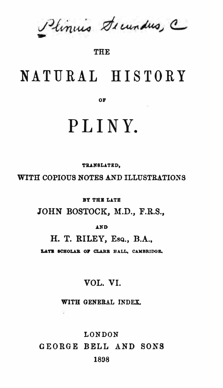Plinius Decundus, C

#### **THE**

## NATURAL HISTORY

OF

# PLINY.

TRANSLATED.

WITH COPIOUS NOTES AND ILLUSTRATIONS

**RY THE LATE** 

JOHN BOSTOCK, M.D., F.R.S.,

**AND** 

H. T. RILEY, Esq., B.A.,

LATE SCHOLAR OF CLARE HALL, CAMBRIDGE.

### VOL. VI.

WITH GENERAL INDEX.

LONDON GEORGE BELL AND SONS 1898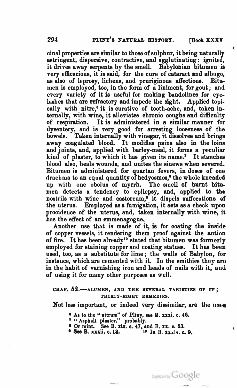€

cinal properties are similar to those of sulphur, it being naturally astringent, dispenive, contractive, and agglutinating : ignited, it drives away serpents by the smell. Babylonian bitumen is very efficacious, it is eaid, for the cure of cataract and albugo, as also of leprosy, lichens, and pruriginous affections. Bitumen is employed, too, in the form of a liniment, for gout; and every variety of it ia useful for making bandolines for eyelashes that are refractory and impede the sight. Applied topically with nitre,<sup>6</sup> it is curative of tooth-ache, and, taken internally, with wine, it alleviates chronic coughs and difficulty of respiration. It ia administered in a similar manner for dysentery, and is very good for arresting looseness of the bowels. Taken internally with vinegar, it dissolves and brings away coagulated blood. It modifies pains also in the loins and joints, and, applied with barley-meal, it forms a peculiar kind of plaster, to which it has given its name.<sup>7</sup> It stanches blood also, heals wounds, and unites the sinews when severed. Bitumen is administered for quartan fevers, in doses of one drachma to an equal quantity of hedyosmos,<sup>8</sup> the whole kneaded up with one obolus of myrrh. The smell of burnt bitumen detects a tendency to epilepsy, and, applied to the nostrils with wine and castoreum,<sup>9</sup> it dispels suffocations of the uterus. Employed as a fumigation, it acts as a check upon procidence of the uterus, and, taken internally with wine, it has the effect of an emmenagogue.

Another use that is made of it, is for coating the inside of copper vessels, it rendering them proof against the action of fire. It has been already10 stated that bitumen was formerly employed for staining copper and coating statues. It has been used, too, as a substitute for lime; the walla of Babylon, for instance, which are cemented with it. In the smithies they are in the habit of varnishing iron and heads of nails with it, and of using it for many other purposes as well.

#### CHAP.  $52.$ -ALUMEN, AND THE SEVERAL VARIETIES OF IT; THIRTY-EIGHT REMEDIES.

Not less important, or indeed very dissimilar, are the uses

- 
- 
- <sup>6</sup> As to the "nitrum" of Pliny, sce B. xxxi. c. 46.<br>7 "Asphalt plaster," probably.<br><sup>6</sup> Or mint. See B. xix. c. 47, and B. xx. c. 53.
- $\bullet$  See B. xxxii. c. 13.  $10 \text{ In } B$ . xxxiv. c. 9.

Digitized by Google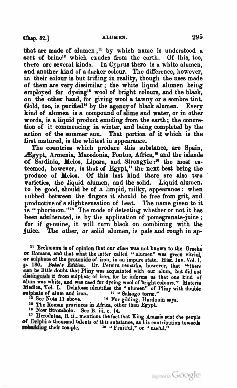that are made of alumen;<sup>11</sup> by which name is understood a sort of brine<sup>12</sup> which exudes from the earth. Of this, too, there are eeveral kinde. In Cyprua there is a white alumen, and another kind of a darker colour. The difference, however, in their colour is but trifling in reality, though the uses made of them are very dissimilar; the white liquid alumen being employed for dyeing<sup>13</sup> wool of bright colours, and the black, on the other band, for giving wool a tawny or a sombre tint. Gold, too, is purified<sup>14</sup> by the agency of black alumen. Every kind of alumen is a compound of slime and water, or in other words, is a liquid product exuding from the earth; the concretion of it commencing in winter, and being completed by the action of the summer sun. That portion of it which is the first matured, is the whitest in appearance.

The countries which produce this substance, are Spain, Ægypt, Armenia, Macedonia, Pontus, Africa,<sup>15</sup> and the islands of Sardinia, Melos. Lipara, and Strongyle:<sup>16</sup> the most esteemed, however, is that of Egypt,<sup>11</sup> the next beat being the produce of Melos. Of this last kind there are also two varieties, the liquid alumen, and the solid. Liquid alumen, to be good, eho<sup>u</sup>ld be of a limpid, milky, appearance: when <sup>a</sup>ubbed between the fingers it sho<sup>u</sup>ld be free from grit, and productive of a slight sensation of heat. The name given to it is "phorimon."<sup>18</sup> The mode of detecting whether or not it has been adulterated, is by the application of pomegranate-juice; for if genuine, it will turn black on combining with the juice. The other, or solid alumen, is pale and rough in ap-

<sup>11</sup> Beckmann is of opinion that our alum was not known to the Greeks or Romans, and that what the latter called "alumen" was green vitriol, or eulpbalie of tbe protoside or iron, in an i<sup>m</sup>p<sup>u</sup>re state. Biat. Inv. Vol. I. p. 180. Behn's Edition. Dr. Pereira remarks, however, that "there can be little doubt that Pliny was acquainted with our alum, but did not distinguish it from sulphate of iron, for he informs us that one kind of alum was

<sup>13</sup> See Note 11 above. <sup>14</sup> For gilding, Hardouin says.<br><sup>15</sup> The Roman provinces in Africa, other than Egypt.

<sup>16</sup> Now Strombolo. See B. iii. c. 14.

17 Herodotus, B. ii., mentions the fact that King Amasis sent the people of Delphi a thousand talents of this substance, as his contribution towards reduilding their temple.  $18.4$  "Fruitful." or "useful."  $\mu$ <sup>18</sup> " Fruitful," or "  $\mu$ seful."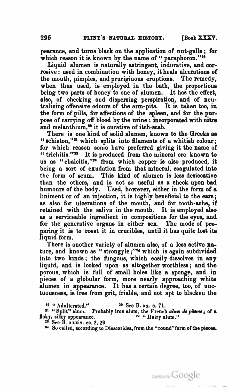pearance, and turns black on the application or nut-galla ; for which reason it is known by the name of " paraphoron."<sup>19</sup>

Liquid alumen is naturally astringent, indurative, and cor· rosive : used in combination with honey, it heals ulcerations of the mouth, pimples, and pruriginous eruptions. The remedy, when thus used, is employed in the bath, the proportions being two parts of honey to one of alumen. It has the effect, also, of checking and dispersing perspiration, and of neutralizing offensive odours of the arm-pita. It is taken too, in the form of pills, for affections of the spleen, and for the purpose of carrying off blood by the urine : incorporated with nitre and melanthium,<sup>20</sup> it is curative of itch-scab.

There is one kind of solid alumen, known to the Greeks as "schiston,"<sup>21</sup> which splits into filaments of a whitish colour; for which reason some have preferred giving it the name of "trichitis."<sup>22</sup> It is produced from the mineral ore known to us as " chalcitis,"<sup>22</sup> from which copper is also produced, it being a sort of exudation from that mineral, coagulated into the form of acum. This kind of alumen is less desiccative than the others, and is not so useful as a check upon bad humours of the body. Used, however, either in the form of <sup>a</sup> liniment or of an injection, it is highly beneficial to the ears; as also for ulcerations of the mouth, and for tooth-ache, if retained with the saliva in the mouth. It is employed alao as a serviceable ingredient in compositions for the eyes, and for the generative organs in either sex. The mode of preparing it is to roast it in crucibles, until it has quite lost its liquid form.

There is another variety of alumen also, of a less active nature, and known as "strongyle;"<sup>14</sup> which is again subdivided into two kinds; the fungous, which easily dissolves in any liquid, and is looked upon as altogether worthless; and tho porous, which is full of small holes like a sponge, and in pieces of a globular form, more nearly approaching white alumen in appearance. It has a certain degree, too, of unctuousness, is free from grit, friable, and not apt to blacken the

 $19$  "Adulterated." 20 See B. xx. c. 71.

<sup>21</sup> "Split" alum. Probably iron alum, the French *alum de plume*; of a<br>ky, silky appearance.  $22$  "Hairy alum." flaky, silky appearance.

<sup>23</sup> See B. xxxiv. cc. 2, 29.

<sup>&</sup>lt;sup>24</sup> So called, according to Dioscorides, from the "round" form of the pieces.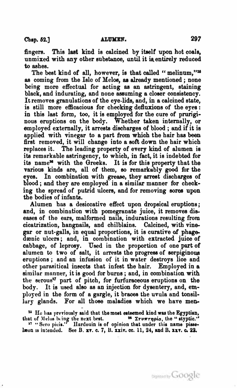fingers. This last kind is calcined by itself upon hot coals, unmixed with any other substance, until it is entirely reduced to ashes.

The best kind of all, however, is that called "melinum."<sup>25</sup> as coming from the Isle of Melos, as already mentioned; none being more effectual for acting as an astringent, staining black, and indurating, and none assuming a closer consistency. It removes granulations of the eye. lids, and, in a calcined state, is still more efficacious for checking deftuxions of the eyes : in this last form, too, it is employed for the cure of pruriginous eruptions on the body. Whether taken internally, or employed externally, it arresta discharges of blood; and if it is applied with vinegar to a part from which the hair has been first removed, it will change into a soft down the hair which replaces it. The leading property of every kind of alumen is ita remarkable astringency, to which, in fact, it is indebted for its name<sup>26</sup> with the Greeks. It is for this property that the varioue kinds are, all of them, so remarkably good for the eyes. In combination with grease, they arrest discharges of blood ; and they aro employed in a similar manner for checking the spread of putrid ulcera, and for removing sores upon the bodies of infanta.

Alumen bas a desiccative effect upon dropsical eruptions; and, in combination with pomegranate juice, it removes diseases of tho ears, malformed nails, indurations resulting from cicatrization, hangnails, and chilblains. Calcined, with vinegar or nut-galla, in equal proportions, it is curative of pbage dænic ulcers; and, in combination with extracted juice of cabbage, of leprosy. Used in the proportion of one part of alumen to two of salt, it arrests the progress of serpiginous eruptions ; and an infusion of it in water destroys lioe and other parasitical ineecta that infest the hair. Employed in <sup>a</sup> similar manner, it is good for burns; and, in combination with the serous<sup>27</sup> part of pitch, for furfuraceous eruptions on the body. It is used also as an injection for dysentery, and, employed in the form of a gargle, it braces the uvula and tonsillary glands. For all those maladies which we have men-

<sup>25</sup> He has previously said that the most esteemed kind was the Egyptian, that of Melos being the next best.  $\frac{1}{2} \sum_{i} \frac{1}{2}$  is  $\frac{1}{2}$  where  $\frac{1}{2}$  is  $\frac{1}{2}$  is  $\frac{1}{2}$  if  $\frac{1}{2}$  is  $\frac{1}{2}$  if  $\frac{1}{2}$  if  $\frac{1}{2}$  if  $\frac{1}{2}$  if  $\frac{1}{2}$  if  $\frac{1}{2}$  if  $\frac{1}{2}$  if  $\$ læon is intended. See B. xv. c. 7, B. xxiv. cc. 11, 24, and B. xxv. c. 22.